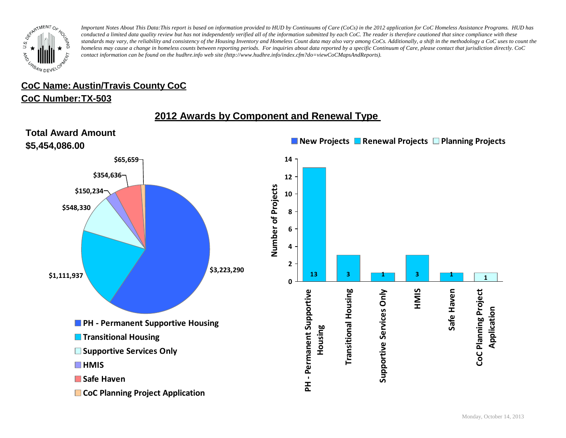

# **CoC Name: Austin/Travis County CoC**

#### **CoC Number: TX-503**

## **2012 Awards by Component and Renewal Type**

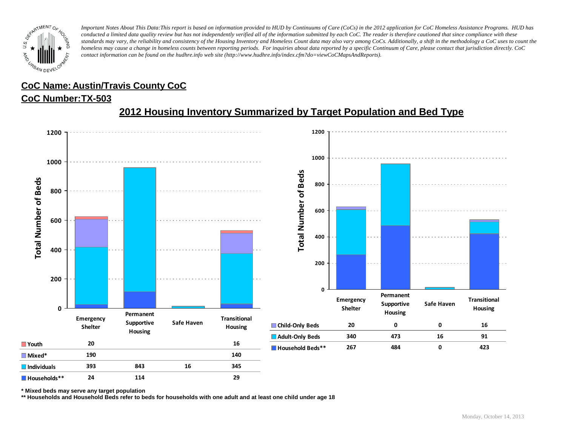

# **CoC Name: Austin/Travis County CoC**

#### **CoC Number: TX-503**



# **2012 Housing Inventory Summarized by Target Population and Bed Type**

**\* Mixed beds may serve any target population**

**\*\* Households and Household Beds refer to beds for households with one adult and at least one child under age 18**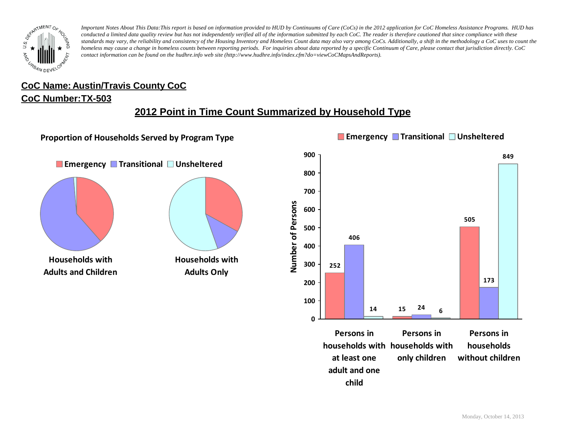

#### **CoC Number: TX-503 CoC Name: Austin/Travis County CoC**

### **2012 Point in Time Count Summarized by Household Type**